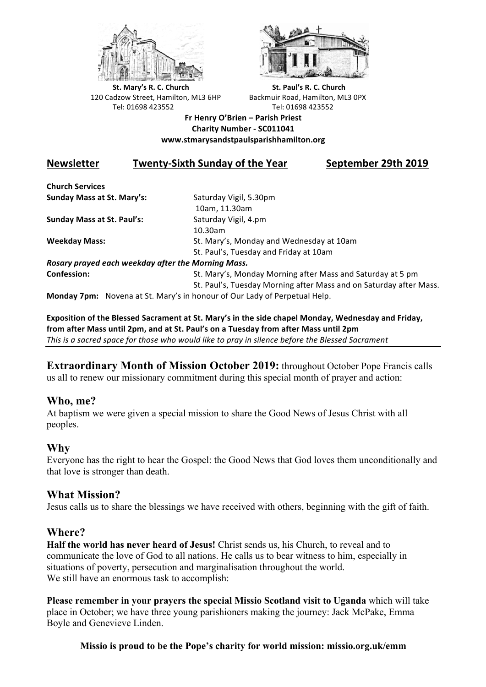



**St.** Mary's R. C. Church St. Paul's R. C. Church 120 Cadzow Street, Hamilton, ML3 6HP Backmuir Road, Hamilton, ML3 0PX Tel: 01698 423552 Tel: 01698 423552

#### **Fr Henry O'Brien – Parish Priest Charity Number - SC011041 www.stmarysandstpaulsparishhamilton.org**

# **Newsletter Twenty-Sixth Sunday of the Year September 29th 2019**

**Church Services Sunday Mass at St. Mary's:** Saturday Vigil, 5.30pm

**Sunday Mass at St. Paul's:** Saturday Vigil, 4.pm

 10am, 11.30am 10.30am **Weekday Mass:** St. Mary's, Monday and Wednesday at 10am St. Paul's, Tuesday and Friday at 10am

*Rosary prayed each weekday after the Morning Mass.* **Confession:** St. Mary's, Monday Morning after Mass and Saturday at 5 pm

St. Paul's, Tuesday Morning after Mass and on Saturday after Mass.

**Monday 7pm:** Novena at St. Mary's in honour of Our Lady of Perpetual Help.

Exposition of the Blessed Sacrament at St. Mary's in the side chapel Monday, Wednesday and Friday, from after Mass until 2pm, and at St. Paul's on a Tuesday from after Mass until 2pm This is a sacred space for those who would like to pray in silence before the Blessed Sacrament

**Extraordinary Month of Mission October 2019:** throughout October Pope Francis calls us all to renew our missionary commitment during this special month of prayer and action:

# **Who, me?**

At baptism we were given a special mission to share the Good News of Jesus Christ with all peoples.

# **Why**

Everyone has the right to hear the Gospel: the Good News that God loves them unconditionally and that love is stronger than death.

# **What Mission?**

Jesus calls us to share the blessings we have received with others, beginning with the gift of faith.

#### **Where?**

**Half the world has never heard of Jesus!** Christ sends us, his Church, to reveal and to communicate the love of God to all nations. He calls us to bear witness to him, especially in situations of poverty, persecution and marginalisation throughout the world. We still have an enormous task to accomplish:

**Please remember in your prayers the special Missio Scotland visit to Uganda** which will take place in October; we have three young parishioners making the journey: Jack McPake, Emma Boyle and Genevieve Linden.

#### **Missio is proud to be the Pope's charity for world mission: missio.org.uk/emm**